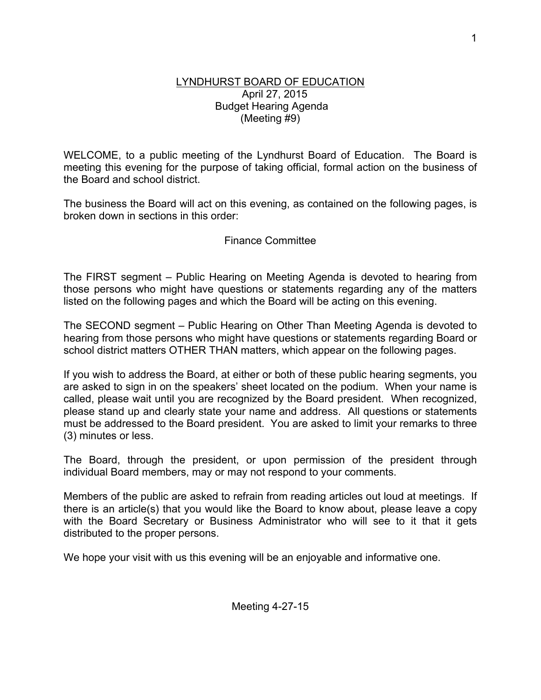## LYNDHURST BOARD OF EDUCATION April 27, 2015 Budget Hearing Agenda (Meeting #9)

WELCOME, to a public meeting of the Lyndhurst Board of Education. The Board is meeting this evening for the purpose of taking official, formal action on the business of the Board and school district.

The business the Board will act on this evening, as contained on the following pages, is broken down in sections in this order:

## Finance Committee

The FIRST segment – Public Hearing on Meeting Agenda is devoted to hearing from those persons who might have questions or statements regarding any of the matters listed on the following pages and which the Board will be acting on this evening.

The SECOND segment – Public Hearing on Other Than Meeting Agenda is devoted to hearing from those persons who might have questions or statements regarding Board or school district matters OTHER THAN matters, which appear on the following pages.

If you wish to address the Board, at either or both of these public hearing segments, you are asked to sign in on the speakers' sheet located on the podium. When your name is called, please wait until you are recognized by the Board president. When recognized, please stand up and clearly state your name and address. All questions or statements must be addressed to the Board president. You are asked to limit your remarks to three (3) minutes or less.

The Board, through the president, or upon permission of the president through individual Board members, may or may not respond to your comments.

Members of the public are asked to refrain from reading articles out loud at meetings. If there is an article(s) that you would like the Board to know about, please leave a copy with the Board Secretary or Business Administrator who will see to it that it gets distributed to the proper persons.

We hope your visit with us this evening will be an enjoyable and informative one.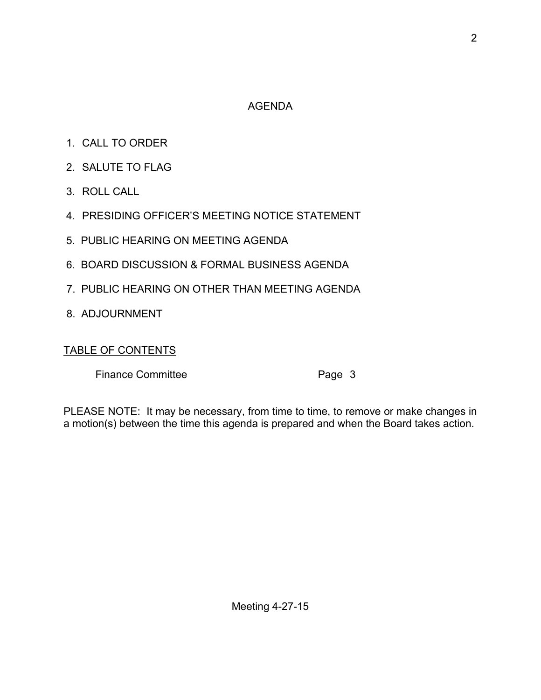## AGENDA

- 1. CALL TO ORDER
- 2. SALUTE TO FLAG
- 3. ROLL CALL
- 4. PRESIDING OFFICER'S MEETING NOTICE STATEMENT
- 5. PUBLIC HEARING ON MEETING AGENDA
- 6. BOARD DISCUSSION & FORMAL BUSINESS AGENDA
- 7. PUBLIC HEARING ON OTHER THAN MEETING AGENDA
- 8. ADJOURNMENT

## TABLE OF CONTENTS

Finance Committee **Page 3** 

PLEASE NOTE: It may be necessary, from time to time, to remove or make changes in a motion(s) between the time this agenda is prepared and when the Board takes action.